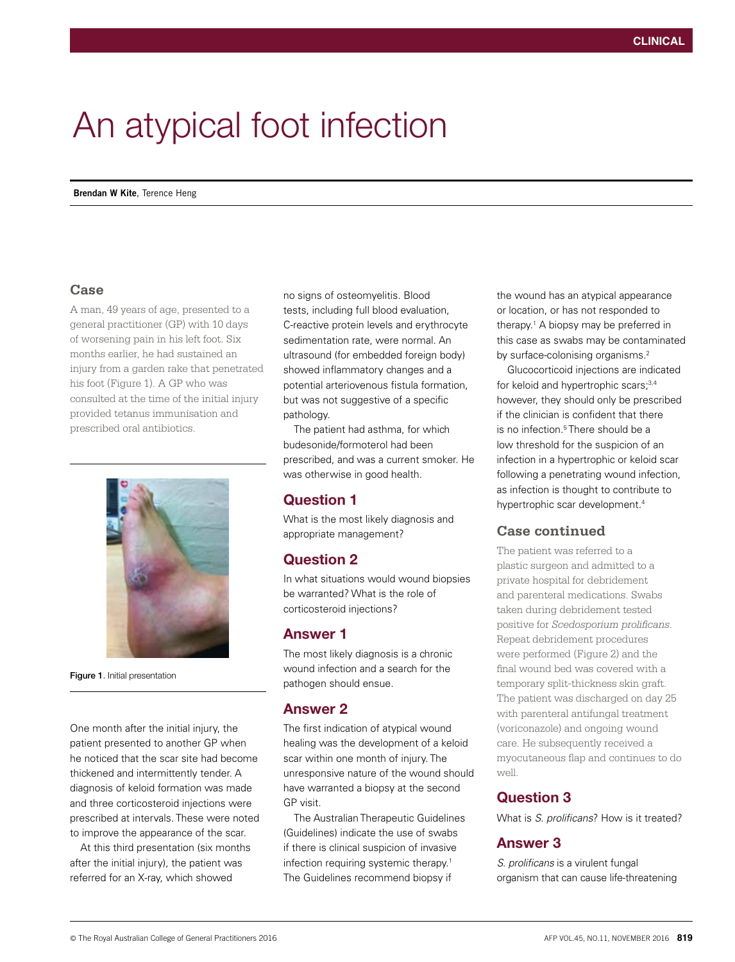# An atypical foot infection

**Brendan W Kite**, Terence Heng

#### **Case**

A man, 49 years of age, presented to a general practitioner (GP) with 10 days of worsening pain in his left foot. Six months earlier, he had sustained an injury from a garden rake that penetrated his foot (Figure 1). A GP who was consulted at the time of the initial injury provided tetanus immunisation and prescribed oral antibiotics.



Figure 1. Initial presentation

One month after the initial injury, the patient presented to another GP when he noticed that the scar site had become thickened and intermittently tender. A diagnosis of keloid formation was made and three corticosteroid injections were prescribed at intervals. These were noted to improve the appearance of the scar.

At this third presentation (six months after the initial injury), the patient was referred for an X-ray, which showed

no signs of osteomyelitis. Blood tests, including full blood evaluation, C-reactive protein levels and erythrocyte sedimentation rate, were normal. An ultrasound (for embedded foreign body) showed inflammatory changes and a potential arteriovenous fistula formation, but was not suggestive of a specific pathology.

The patient had asthma, for which budesonide/formoterol had been prescribed, and was a current smoker. He was otherwise in good health.

## Question 1

What is the most likely diagnosis and appropriate management?

## Question 2

In what situations would wound biopsies be warranted? What is the role of corticosteroid injections?

#### Answer 1

The most likely diagnosis is a chronic wound infection and a search for the pathogen should ensue.

#### Answer 2

The first indication of atypical wound healing was the development of a keloid scar within one month of injury. The unresponsive nature of the wound should have warranted a biopsy at the second GP visit.

The Australian Therapeutic Guidelines (Guidelines) indicate the use of swabs if there is clinical suspicion of invasive infection requiring systemic therapy.<sup>1</sup> The Guidelines recommend biopsy if

the wound has an atypical appearance or location, or has not responded to therapy.<sup>1</sup> A biopsy may be preferred in this case as swabs may be contaminated by surface-colonising organisms.<sup>2</sup>

Glucocorticoid injections are indicated for keloid and hypertrophic scars;<sup>3,4</sup> however, they should only be prescribed if the clinician is confident that there is no infection.<sup>5</sup> There should be a low threshold for the suspicion of an infection in a hypertrophic or keloid scar following a penetrating wound infection, as infection is thought to contribute to hypertrophic scar development.4

## **Case continued**

The patient was referred to a plastic surgeon and admitted to a private hospital for debridement and parenteral medications. Swabs taken during debridement tested positive for *Scedosporium prolificans*. Repeat debridement procedures were performed (Figure 2) and the final wound bed was covered with a temporary split-thickness skin graft. The patient was discharged on day 25 with parenteral antifungal treatment (voriconazole) and ongoing wound care. He subsequently received a myocutaneous flap and continues to do well.

## Question 3

What is *S. prolificans*? How is it treated?

#### Answer 3

*S. prolificans* is a virulent fungal organism that can cause life-threatening